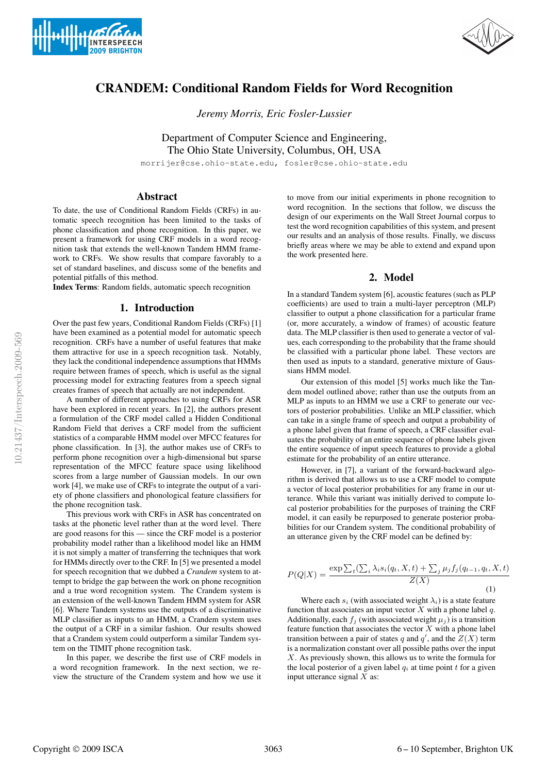



# CRANDEM: Conditional Random Fields for Word Recognition

*Jeremy Morris, Eric Fosler-Lussier*

Department of Computer Science and Engineering, The Ohio State University, Columbus, OH, USA

morrijer@cse.ohio-state.edu, fosler@cse.ohio-state.edu

# Abstract

To date, the use of Conditional Random Fields (CRFs) in automatic speech recognition has been limited to the tasks of phone classification and phone recognition. In this paper, we present a framework for using CRF models in a word recognition task that extends the well-known Tandem HMM framework to CRFs. We show results that compare favorably to a set of standard baselines, and discuss some of the benefits and potential pitfalls of this method.

Index Terms: Random fields, automatic speech recognition

#### 1. Introduction

Over the past few years, Conditional Random Fields (CRFs) [1] have been examined as a potential model for automatic speech recognition. CRFs have a number of useful features that make them attractive for use in a speech recognition task. Notably, they lack the conditional independence assumptions that HMMs require between frames of speech, which is useful as the signal processing model for extracting features from a speech signal creates frames of speech that actually are not independent.

A number of different approaches to using CRFs for ASR have been explored in recent years. In [2], the authors present a formulation of the CRF model called a Hidden Conditional Random Field that derives a CRF model from the sufficient statistics of a comparable HMM model over MFCC features for phone classification. In [3], the author makes use of CRFs to perform phone recognition over a high-dimensional but sparse representation of the MFCC feature space using likelihood scores from a large number of Gaussian models. In our own work [4], we make use of CRFs to integrate the output of a variety of phone classifiers and phonological feature classifiers for the phone recognition task.

This previous work with CRFs in ASR has concentrated on tasks at the phonetic level rather than at the word level. There are good reasons for this — since the CRF model is a posterior probability model rather than a likelihood model like an HMM it is not simply a matter of transferring the techniques that work for HMMs directly over to the CRF. In [5] we presented a model for speech recognition that we dubbed a *Crandem* system to attempt to bridge the gap between the work on phone recognition and a true word recognition system. The Crandem system is an extension of the well-known Tandem HMM system for ASR [6]. Where Tandem systems use the outputs of a discriminative MLP classifier as inputs to an HMM, a Crandem system uses the output of a CRF in a similar fashion. Our results showed that a Crandem system could outperform a similar Tandem system on the TIMIT phone recognition task.

In this paper, we describe the first use of CRF models in a word recognition framework. In the next section, we review the structure of the Crandem system and how we use it to move from our initial experiments in phone recognition to word recognition. In the sections that follow, we discuss the design of our experiments on the Wall Street Journal corpus to test the word recognition capabilities of this system, and present our results and an analysis of those results. Finally, we discuss briefly areas where we may be able to extend and expand upon the work presented here.

## 2. Model

In a standard Tandem system [6], acoustic features (such as PLP coefficients) are used to train a multi-layer perceptron (MLP) classifier to output a phone classification for a particular frame (or, more accurately, a window of frames) of acoustic feature data. The MLP classifier is then used to generate a vector of values, each corresponding to the probability that the frame should be classified with a particular phone label. These vectors are then used as inputs to a standard, generative mixture of Gaussians HMM model.

Our extension of this model [5] works much like the Tandem model outlined above; rather than use the outputs from an MLP as inputs to an HMM we use a CRF to generate our vectors of posterior probabilities. Unlike an MLP classifier, which can take in a single frame of speech and output a probability of a phone label given that frame of speech, a CRF classifier evaluates the probability of an entire sequence of phone labels given the entire sequence of input speech features to provide a global estimate for the probability of an entire utterance.

However, in [7], a variant of the forward-backward algorithm is derived that allows us to use a CRF model to compute a vector of local posterior probabilities for any frame in our utterance. While this variant was initially derived to compute local posterior probabilities for the purposes of training the CRF model, it can easily be repurposed to generate posterior probabilities for our Crandem system. The conditional probability of an utterance given by the CRF model can be defined by:

$$
P(Q|X) = \frac{\exp\sum_{t}(\sum_{i}\lambda_{i}s_{i}(q_{t}, X, t) + \sum_{j}\mu_{j}f_{j}(q_{t-1}, q_{t}, X, t))}{Z(X)}
$$
\n(1)

Where each  $s_i$  (with associated weight  $\lambda_i$ ) is a state feature function that associates an input vector  $X$  with a phone label  $q$ . Additionally, each  $f_i$  (with associated weight  $\mu_i$ ) is a transition feature function that associates the vector  $X$  with a phone label transition between a pair of states q and  $q'$ , and the  $Z(X)$  term is a normalization constant over all possible paths over the input  $X$ . As previously shown, this allows us to write the formula for the local posterior of a given label  $q_i$  at time point  $t$  for a given input utterance signal  $X$  as: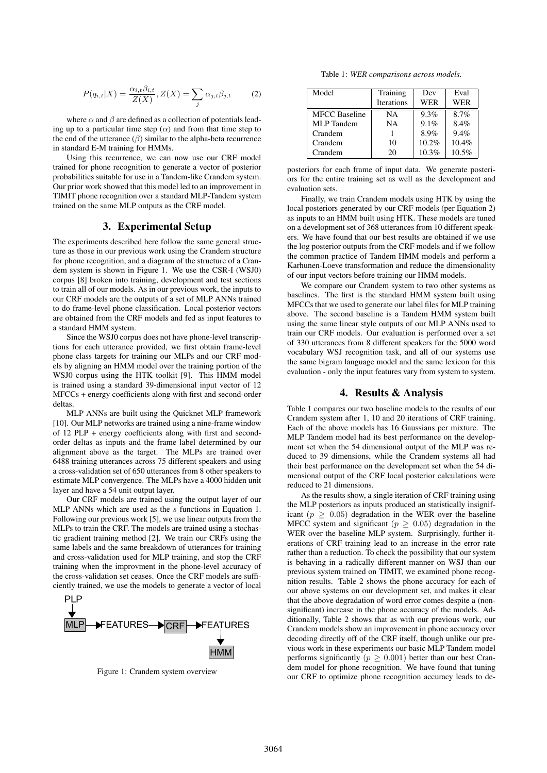$$
P(q_{i,t}|X) = \frac{\alpha_{i,t}\beta_{i,t}}{Z(X)}, Z(X) = \sum_j \alpha_{j,t}\beta_{j,t}
$$
 (2)

where  $\alpha$  and  $\beta$  are defined as a collection of potentials leading up to a particular time step  $(\alpha)$  and from that time step to the end of the utterance  $(\beta)$  similar to the alpha-beta recurrence in standard E-M training for HMMs.

Using this recurrence, we can now use our CRF model trained for phone recognition to generate a vector of posterior probabilities suitable for use in a Tandem-like Crandem system. Our prior work showed that this model led to an improvement in TIMIT phone recognition over a standard MLP-Tandem system trained on the same MLP outputs as the CRF model.

# 3. Experimental Setup

The experiments described here follow the same general structure as those in our previous work using the Crandem structure for phone recognition, and a diagram of the structure of a Crandem system is shown in Figure 1. We use the CSR-I (WSJ0) corpus [8] broken into training, development and test sections to train all of our models. As in our previous work, the inputs to our CRF models are the outputs of a set of MLP ANNs trained to do frame-level phone classification. Local posterior vectors are obtained from the CRF models and fed as input features to a standard HMM system.

Since the WSJ0 corpus does not have phone-level transcriptions for each utterance provided, we first obtain frame-level phone class targets for training our MLPs and our CRF models by aligning an HMM model over the training portion of the WSJ0 corpus using the HTK toolkit [9]. This HMM model is trained using a standard 39-dimensional input vector of 12 MFCCs + energy coefficients along with first and second-order deltas

MLP ANNs are built using the Quicknet MLP framework [10]. Our MLP networks are trained using a nine-frame window of 12 PLP + energy coefficients along with first and secondorder deltas as inputs and the frame label determined by our alignment above as the target. The MLPs are trained over 6488 training utterances across 75 different speakers and using a cross-validation set of 650 utterances from 8 other speakers to estimate MLP convergence. The MLPs have a 4000 hidden unit layer and have a 54 unit output layer.

Our CRF models are trained using the output layer of our MLP ANNs which are used as the  $s$  functions in Equation 1. Following our previous work [5], we use linear outputs from the MLPs to train the CRF. The models are trained using a stochastic gradient training method [2]. We train our CRFs using the same labels and the same breakdown of utterances for training and cross-validation used for MLP training, and stop the CRF training when the improvment in the phone-level accuracy of the cross-validation set ceases. Once the CRF models are sufficiently trained, we use the models to generate a vector of local



Figure 1: Crandem system overview

Table 1: *WER comparisons across models.*

| Model                | Training   | Dev   | Eval       |
|----------------------|------------|-------|------------|
|                      | Iterations | WER   | <b>WER</b> |
| <b>MFCC</b> Baseline | <b>NA</b>  | 9.3%  | 8.7%       |
| <b>MLP</b> Tandem    | <b>NA</b>  | 9.1%  | 8.4%       |
| Crandem              |            | 8.9%  | 9.4%       |
| Crandem              | 10         | 10.2% | 10.4%      |
| Crandem              | 20         | 10.3% | 10.5%      |

posteriors for each frame of input data. We generate posteriors for the entire training set as well as the development and evaluation sets.

Finally, we train Crandem models using HTK by using the local posteriors generated by our CRF models (per Equation 2) as inputs to an HMM built using HTK. These models are tuned on a development set of 368 utterances from 10 different speakers. We have found that our best results are obtained if we use the log posterior outputs from the CRF models and if we follow the common practice of Tandem HMM models and perform a Karhunen-Loeve transformation and reduce the dimensionality of our input vectors before training our HMM models.

We compare our Crandem system to two other systems as baselines. The first is the standard HMM system built using MFCCs that we used to generate our label files for MLP training above. The second baseline is a Tandem HMM system built using the same linear style outputs of our MLP ANNs used to train our CRF models. Our evaluation is performed over a set of 330 utterances from 8 different speakers for the 5000 word vocabulary WSJ recognition task, and all of our systems use the same bigram language model and the same lexicon for this evaluation - only the input features vary from system to system.

#### 4. Results & Analysis

Table 1 compares our two baseline models to the results of our Crandem system after 1, 10 and 20 iterations of CRF training. Each of the above models has 16 Gaussians per mixture. The MLP Tandem model had its best performance on the development set when the 54 dimensional output of the MLP was reduced to 39 dimensions, while the Crandem systems all had their best performance on the development set when the 54 dimensional output of the CRF local posterior calculations were reduced to 21 dimensions.

As the results show, a single iteration of CRF training using the MLP posteriors as inputs produced an statistically insignificant ( $p \geq 0.05$ ) degradation in the WER over the baseline MFCC system and significant ( $p \geq 0.05$ ) degradation in the WER over the baseline MLP system. Surprisingly, further iterations of CRF training lead to an increase in the error rate rather than a reduction. To check the possibility that our system is behaving in a radically different manner on WSJ than our previous system trained on TIMIT, we examined phone recognition results. Table 2 shows the phone accuracy for each of our above systems on our development set, and makes it clear that the above degradation of word error comes despite a (nonsignificant) increase in the phone accuracy of the models. Additionally, Table 2 shows that as with our previous work, our Crandem models show an improvement in phone accuracy over decoding directly off of the CRF itself, though unlike our previous work in these experiments our basic MLP Tandem model performs significantly ( $p \geq 0.001$ ) better than our best Crandem model for phone recognition. We have found that tuning our CRF to optimize phone recognition accuracy leads to de-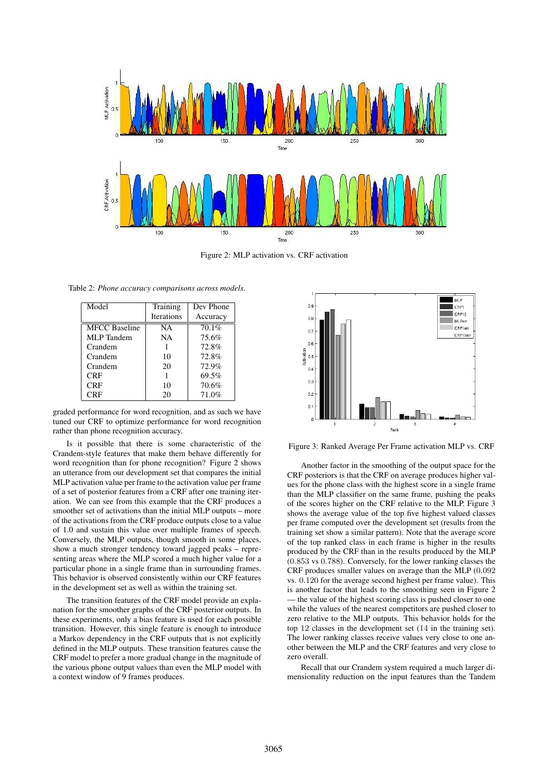

Figure 2: MLP activation vs. CRF activation

Table 2: *Phone accuracy comparisons across models.*

| Model                | Training          | Dev Phone |
|----------------------|-------------------|-----------|
|                      | <b>Iterations</b> | Accuracy  |
| <b>MFCC Baseline</b> | NA                | 70.1%     |
| MLP Tandem           | NA.               | 75.6%     |
| Crandem              |                   | 72.8%     |
| Crandem              | 10                | 72.8%     |
| Crandem              | 20                | 72.9%     |
| CRF                  |                   | 69.5%     |
| <b>CRF</b>           | 10                | 70.6%     |
| CRF                  | 20                | 71.0%     |

graded performance for word recognition, and as such we have tuned our CRF to optimize performance for word recognition rather than phone recognition accuracy.

Is it possible that there is some characteristic of the Crandem-style features that make them behave differently for word recognition than for phone recognition? Figure 2 shows an utterance from our development set that compares the initial MLP activation value per frame to the activation value per frame of a set of posterior features from a CRF after one training iteration. We can see from this example that the CRF produces a smoother set of activations than the initial MLP outputs – more of the activations from the CRF produce outputs close to a value of 1.0 and sustain this value over multiple frames of speech. Conversely, the MLP outputs, though smooth in some places, show a much stronger tendency toward jagged peaks – representing areas where the MLP scored a much higher value for a particular phone in a single frame than in surrounding frames. This behavior is observed consistently within our CRF features in the development set as well as within the training set.

The transition features of the CRF model provide an explanation for the smoother graphs of the CRF posterior outputs. In these experiments, only a bias feature is used for each possible transition. However, this single feature is enough to introduce a Markov dependency in the CRF outputs that is not explicitly defined in the MLP outputs. These transition features cause the CRF model to prefer a more gradual change in the magnitude of the various phone output values than even the MLP model with a context window of 9 frames produces.



Figure 3: Ranked Average Per Frame activation MLP vs. CRF

Another factor in the smoothing of the output space for the CRF posteriors is that the CRF on average produces higher values for the phone class with the highest score in a single frame than the MLP classifier on the same frame, pushing the peaks of the scores higher on the CRF relative to the MLP. Figure 3 shows the average value of the top five highest valued classes per frame computed over the development set (results from the training set show a similar pattern). Note that the average score of the top ranked class in each frame is higher in the results produced by the CRF than in the results produced by the MLP (0.853 vs 0.788). Conversely, for the lower ranking classes the CRF produces smaller values on average than the MLP (0.092 vs. 0.120 for the average second highest per frame value). This is another factor that leads to the smoothing seen in Figure 2 the value of the highest scoring class is pushed closer to one while the values of the nearest competitors are pushed closer to zero relative to the MLP outputs. This behavior holds for the top 12 classes in the development set (14 in the training set). The lower ranking classes receive values very close to one another between the MLP and the CRF features and very close to zero overall.

Recall that our Crandem system required a much larger dimensionality reduction on the input features than the Tandem